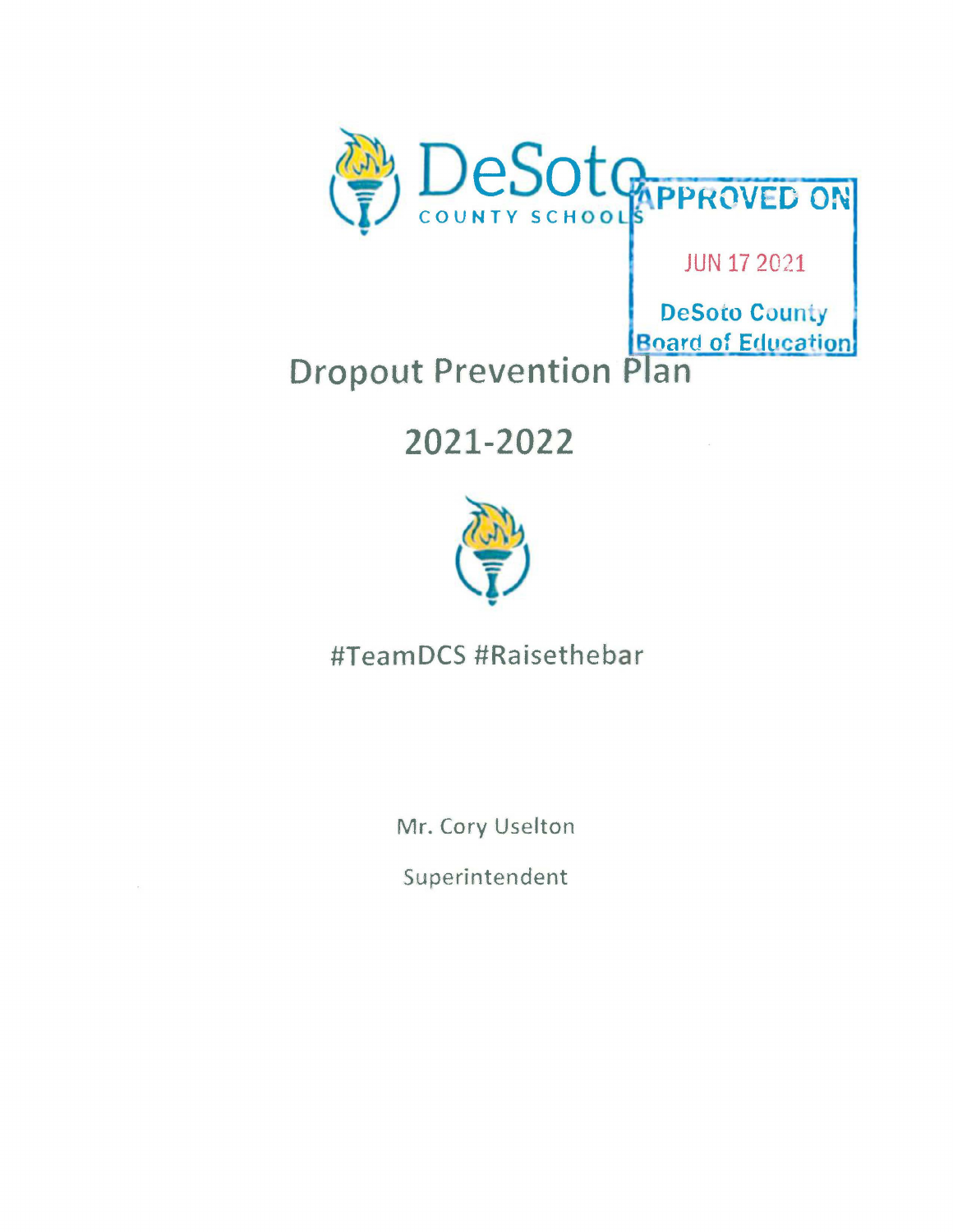

### JUN 17 2021

**DeSoto County Board of Education** 

# **Dropout Prevention Plan**

## **2021-2022**



### #TeamDCS #Raisethebar

Mr. Cory Uselton

Superintendent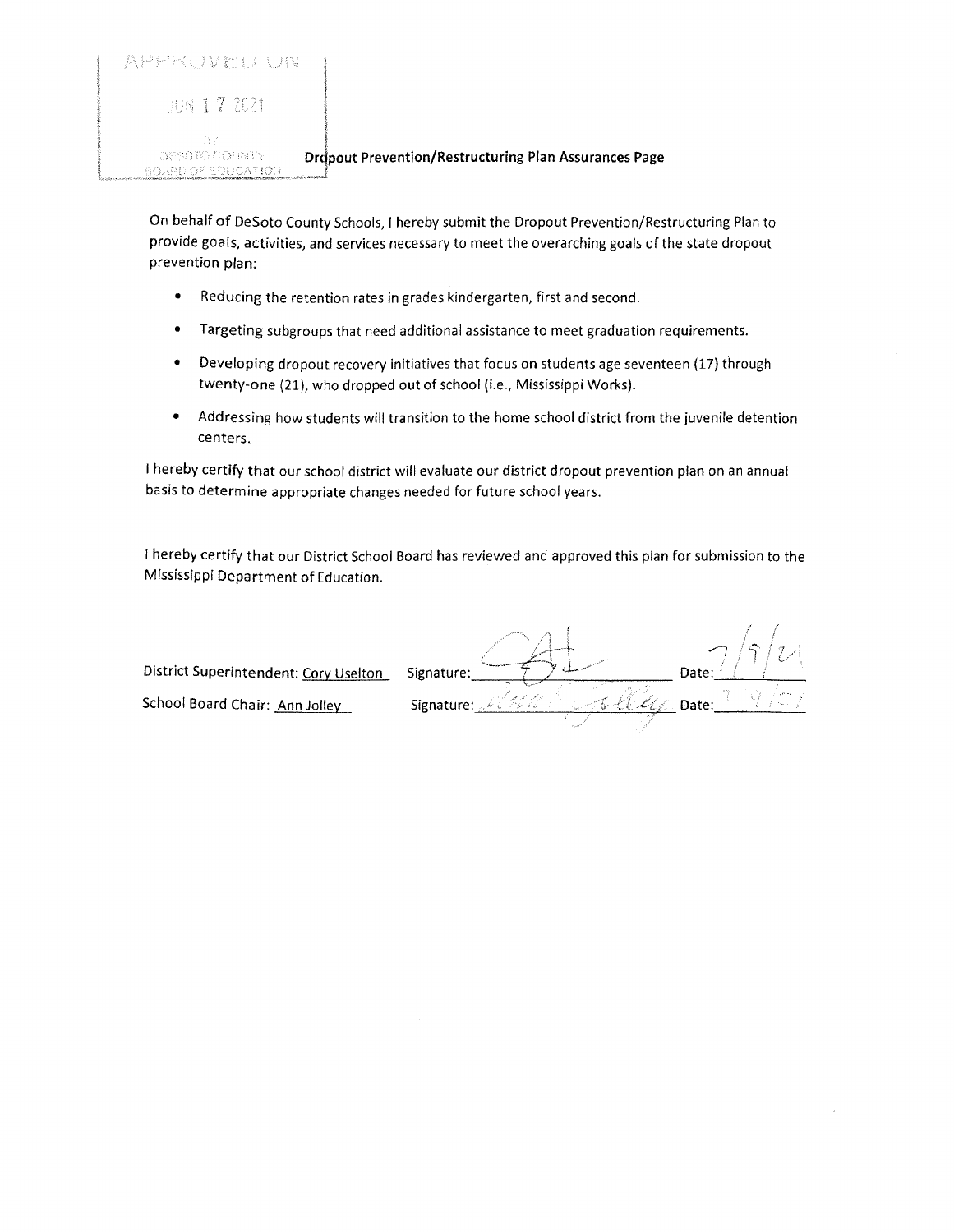| APHKUVICIJ UNI          |                      |
|-------------------------|----------------------|
| GUN 1 7 2021            |                      |
| -27 V<br>DESOTO OOUBITY | <b>Dropout Preve</b> |

 $0$ OAPD OF EDUCATIOU

#### **Praction/Restructuring Plan Assurances Page**

On behalf of DeSoto County Schools, I hereby submit the Dropout Prevention/Restructuring Plan to provide goals, activities, and services necessary to meet the overarching goals of the state dropout prevention plan:

- Reducing the retention rates in grades kindergarten, first and second.
- Targeting subgroups that need additional assistance to meet graduation requirements.
- Developing dropout recovery initiatives that focus on students age seventeen (17) through twenty-one (21), who dropped out of school (i.e., Mississippi Works).
- Addressing how students will transition to the home school district from the juvenile detention centers.

I hereby certify that our school district will evaluate our district dropout prevention plan on an annual basis to determine appropriate changes needed for future school years.

I hereby certify that our District School Board has reviewed and approved this plan for submission to the Mississippi Department of Education.

,, District Superintendent: Cory Uselton Signature: Date: <u>\_\_ *\_*\_\_\_\_\_</u> L Date Signature: School Board Chair: <u>Ann Jolley</u>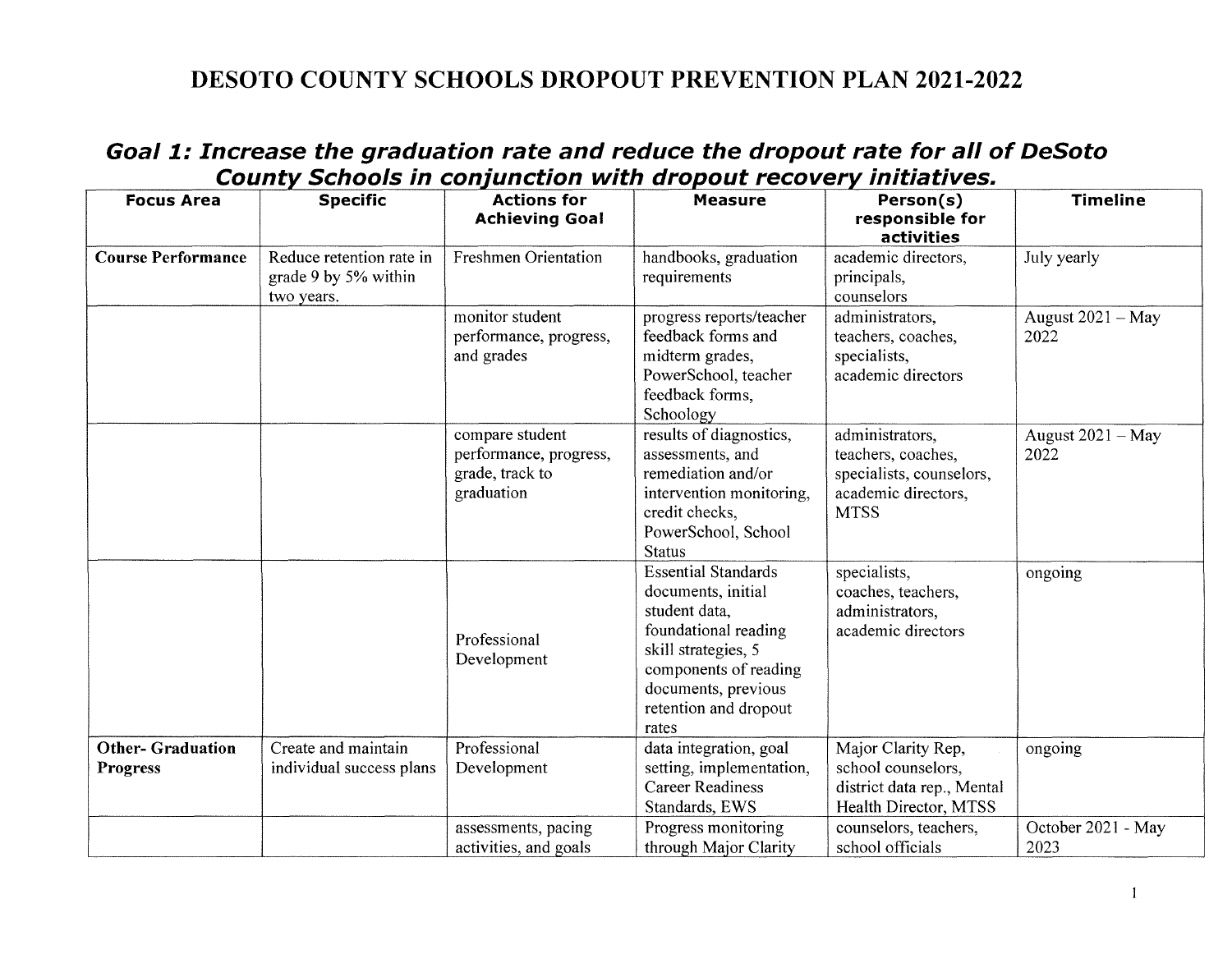#### **DESOTO COUNTY SCHOOLS DROPOUT PREVENTION PLAN 2021-2022**

#### **Goal 1: Increase the graduation rate and reduce the dropout rate for all of DeSoto County Schools in conjunction with dropout recovery initiatives.**

| <b>Focus Area</b>                          | <b>Specific</b>                                                | <b>Actions for</b><br><b>Achieving Goal</b>                                | <b>Measure</b>                                                                                                                                                                                     | Person(s)<br>responsible for<br>activities                                                              | <b>Timeline</b>            |
|--------------------------------------------|----------------------------------------------------------------|----------------------------------------------------------------------------|----------------------------------------------------------------------------------------------------------------------------------------------------------------------------------------------------|---------------------------------------------------------------------------------------------------------|----------------------------|
| <b>Course Performance</b>                  | Reduce retention rate in<br>grade 9 by 5% within<br>two years. | <b>Freshmen Orientation</b>                                                | handbooks, graduation<br>requirements                                                                                                                                                              | academic directors,<br>principals,<br>counselors                                                        | July yearly                |
|                                            |                                                                | monitor student<br>performance, progress,<br>and grades                    | progress reports/teacher<br>feedback forms and<br>midterm grades,<br>PowerSchool, teacher<br>feedback forms.<br>Schoology                                                                          | administrators,<br>teachers, coaches,<br>specialists,<br>academic directors                             | August 2021 - May<br>2022  |
|                                            |                                                                | compare student<br>performance, progress,<br>grade, track to<br>graduation | results of diagnostics,<br>assessments, and<br>remediation and/or<br>intervention monitoring,<br>credit checks,<br>PowerSchool, School<br><b>Status</b>                                            | administrators.<br>teachers, coaches,<br>specialists, counselors,<br>academic directors,<br><b>MTSS</b> | August 2021 - May<br>2022  |
|                                            |                                                                | Professional<br>Development                                                | <b>Essential Standards</b><br>documents, initial<br>student data,<br>foundational reading<br>skill strategies, 5<br>components of reading<br>documents, previous<br>retention and dropout<br>rates | specialists,<br>coaches, teachers,<br>administrators,<br>academic directors                             | ongoing                    |
| <b>Other-Graduation</b><br><b>Progress</b> | Create and maintain<br>individual success plans                | Professional<br>Development                                                | data integration, goal<br>setting, implementation,<br><b>Career Readiness</b><br>Standards, EWS                                                                                                    | Major Clarity Rep,<br>school counselors,<br>district data rep., Mental<br>Health Director, MTSS         | ongoing                    |
|                                            |                                                                | assessments, pacing<br>activities, and goals                               | Progress monitoring<br>through Major Clarity                                                                                                                                                       | counselors, teachers,<br>school officials                                                               | October 2021 - May<br>2023 |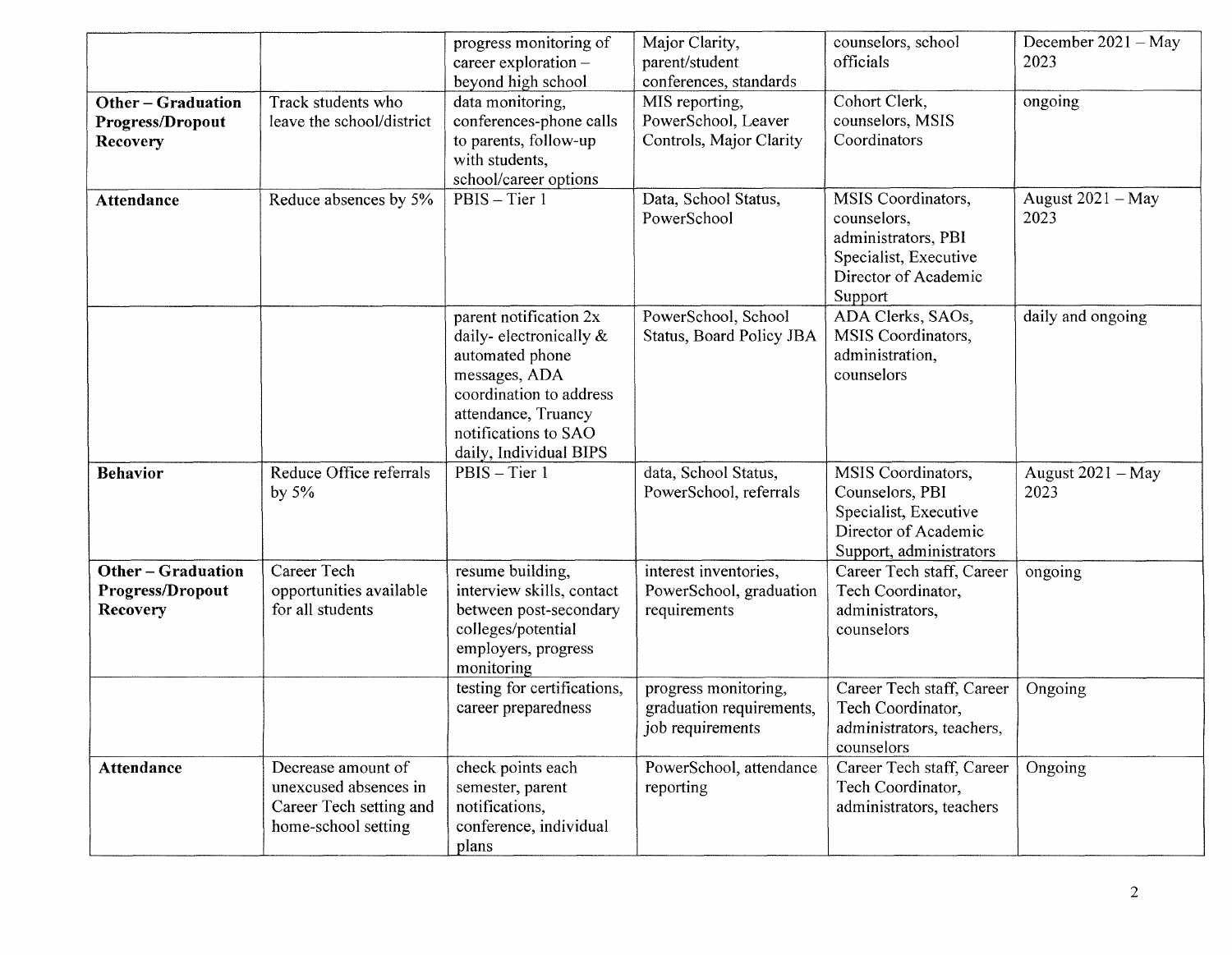|                                                         |                                                                                               | progress monitoring of<br>career exploration -<br>beyond high school                                                                                                                     | Major Clarity,<br>parent/student<br>conferences, standards           | counselors, school<br>officials                                                                                      | December $2021 - May$<br>2023 |
|---------------------------------------------------------|-----------------------------------------------------------------------------------------------|------------------------------------------------------------------------------------------------------------------------------------------------------------------------------------------|----------------------------------------------------------------------|----------------------------------------------------------------------------------------------------------------------|-------------------------------|
| <b>Other-Graduation</b><br>Progress/Dropout<br>Recovery | Track students who<br>leave the school/district                                               | data monitoring,<br>conferences-phone calls<br>to parents, follow-up<br>with students,<br>school/career options                                                                          | MIS reporting,<br>PowerSchool, Leaver<br>Controls, Major Clarity     | Cohort Clerk,<br>counselors, MSIS<br>Coordinators                                                                    | ongoing                       |
| <b>Attendance</b>                                       | Reduce absences by 5%                                                                         | PBIS - Tier 1                                                                                                                                                                            | Data, School Status,<br>PowerSchool                                  | MSIS Coordinators,<br>counselors,<br>administrators, PBI<br>Specialist, Executive<br>Director of Academic<br>Support | August $2021 - May$<br>2023   |
|                                                         |                                                                                               | parent notification 2x<br>daily-electronically &<br>automated phone<br>messages, ADA<br>coordination to address<br>attendance, Truancy<br>notifications to SAO<br>daily, Individual BIPS | PowerSchool, School<br>Status, Board Policy JBA                      | ADA Clerks, SAOs,<br>MSIS Coordinators,<br>administration.<br>counselors                                             | daily and ongoing             |
| <b>Behavior</b>                                         | Reduce Office referrals<br>by $5%$                                                            | PBIS - Tier 1                                                                                                                                                                            | data, School Status,<br>PowerSchool, referrals                       | MSIS Coordinators,<br>Counselors, PBI<br>Specialist, Executive<br>Director of Academic<br>Support, administrators    | August 2021 - May<br>2023     |
| <b>Other-Graduation</b><br>Progress/Dropout<br>Recovery | Career Tech<br>opportunities available<br>for all students                                    | resume building,<br>interview skills, contact<br>between post-secondary<br>colleges/potential<br>employers, progress<br>monitoring                                                       | interest inventories,<br>PowerSchool, graduation<br>requirements     | Career Tech staff, Career<br>Tech Coordinator,<br>administrators,<br>counselors                                      | ongoing                       |
|                                                         |                                                                                               | testing for certifications,<br>career preparedness                                                                                                                                       | progress monitoring,<br>graduation requirements,<br>job requirements | Career Tech staff, Career<br>Tech Coordinator,<br>administrators, teachers,<br>counselors                            | Ongoing                       |
| Attendance                                              | Decrease amount of<br>unexcused absences in<br>Career Tech setting and<br>home-school setting | check points each<br>semester, parent<br>notifications,<br>conference, individual<br>plans                                                                                               | PowerSchool, attendance<br>reporting                                 | Career Tech staff, Career<br>Tech Coordinator,<br>administrators, teachers                                           | Ongoing                       |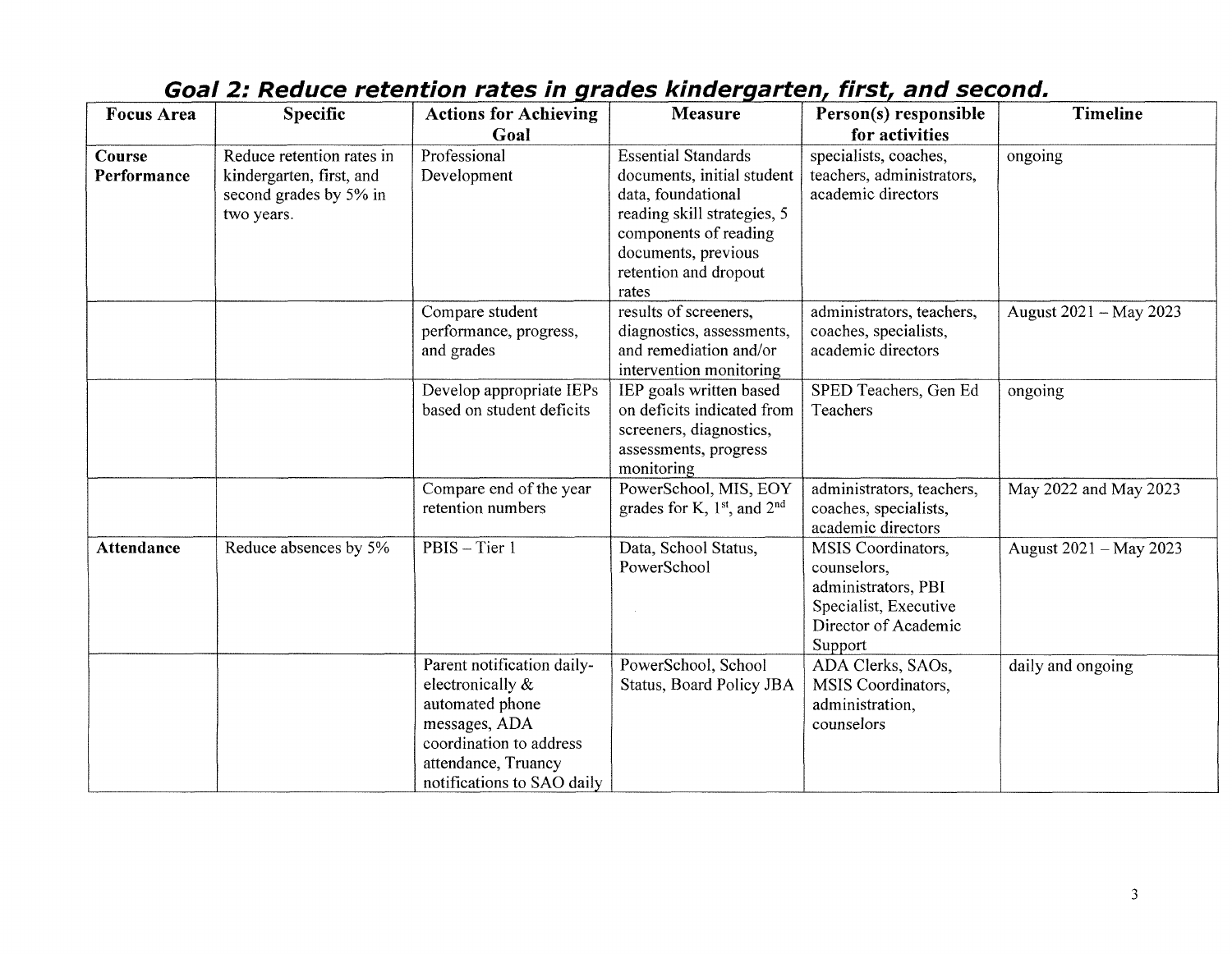| <b>Focus Area</b>     | Specific                                                                                      | <b>Actions for Achieving</b>                                                                                                                                       | <b>Measure</b>                                                                                                                                                                                  | Person(s) responsible                                                                                                | <b>Timeline</b>        |
|-----------------------|-----------------------------------------------------------------------------------------------|--------------------------------------------------------------------------------------------------------------------------------------------------------------------|-------------------------------------------------------------------------------------------------------------------------------------------------------------------------------------------------|----------------------------------------------------------------------------------------------------------------------|------------------------|
|                       |                                                                                               | Goal                                                                                                                                                               |                                                                                                                                                                                                 | for activities                                                                                                       |                        |
| Course<br>Performance | Reduce retention rates in<br>kindergarten, first, and<br>second grades by 5% in<br>two years. | Professional<br>Development                                                                                                                                        | <b>Essential Standards</b><br>documents, initial student<br>data, foundational<br>reading skill strategies, 5<br>components of reading<br>documents, previous<br>retention and dropout<br>rates | specialists, coaches,<br>teachers, administrators,<br>academic directors                                             | ongoing                |
|                       |                                                                                               | Compare student<br>performance, progress,<br>and grades                                                                                                            | results of screeners,<br>diagnostics, assessments,<br>and remediation and/or<br>intervention monitoring                                                                                         | administrators, teachers,<br>coaches, specialists,<br>academic directors                                             | August 2021 - May 2023 |
|                       |                                                                                               | Develop appropriate IEPs<br>based on student deficits                                                                                                              | IEP goals written based<br>on deficits indicated from<br>screeners, diagnostics,<br>assessments, progress<br>monitoring                                                                         | SPED Teachers, Gen Ed<br>Teachers                                                                                    | ongoing                |
|                       |                                                                                               | Compare end of the year<br>retention numbers                                                                                                                       | PowerSchool, MIS, EOY<br>grades for K, $1st$ , and $2nd$                                                                                                                                        | administrators, teachers,<br>coaches, specialists,<br>academic directors                                             | May 2022 and May 2023  |
| <b>Attendance</b>     | Reduce absences by 5%                                                                         | PBIS - Tier 1                                                                                                                                                      | Data, School Status,<br>PowerSchool                                                                                                                                                             | MSIS Coordinators,<br>counselors,<br>administrators, PBI<br>Specialist, Executive<br>Director of Academic<br>Support | August 2021 - May 2023 |
|                       |                                                                                               | Parent notification daily-<br>electronically &<br>automated phone<br>messages, ADA<br>coordination to address<br>attendance, Truancy<br>notifications to SAO daily | PowerSchool, School<br>Status, Board Policy JBA                                                                                                                                                 | ADA Clerks, SAOs,<br>MSIS Coordinators,<br>administration,<br>counselors                                             | daily and ongoing      |

### **Goal 2: Reduce retention rates in grades kindergarten, first, and second.**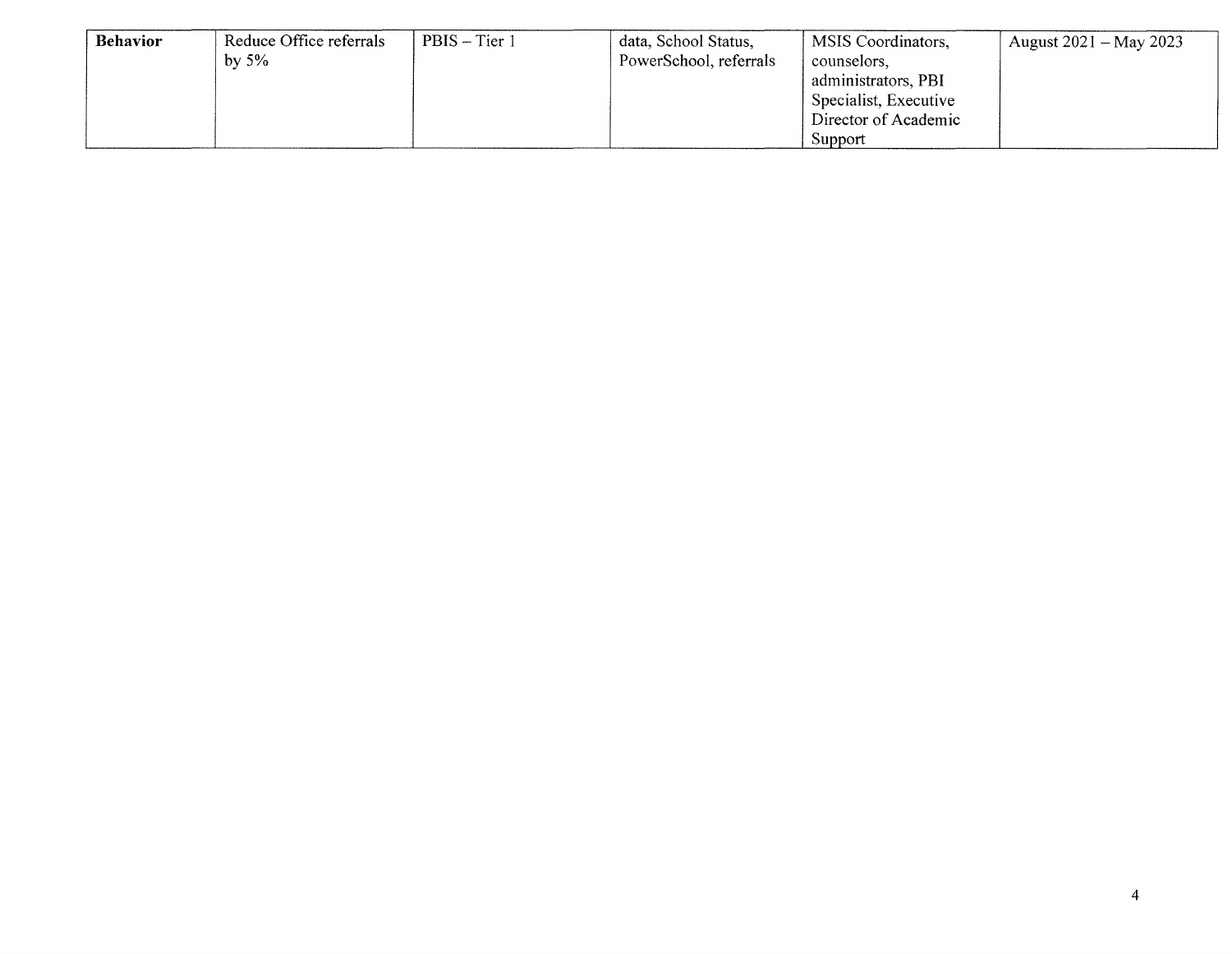| <b>Behavior</b> | Reduce Office referrals | PBIS – Tier 1 | data, School Status,   | MSIS Coordinators,            | August $2021 - May 2023$ |
|-----------------|-------------------------|---------------|------------------------|-------------------------------|--------------------------|
|                 | by $5\%$                |               | PowerSchool, referrals | counselors.                   |                          |
|                 |                         |               |                        | administrators, PBI           |                          |
|                 |                         |               |                        | $\beta$ Specialist, Executive |                          |
|                 |                         |               |                        | Director of Academic          |                          |
|                 |                         |               |                        | Support                       |                          |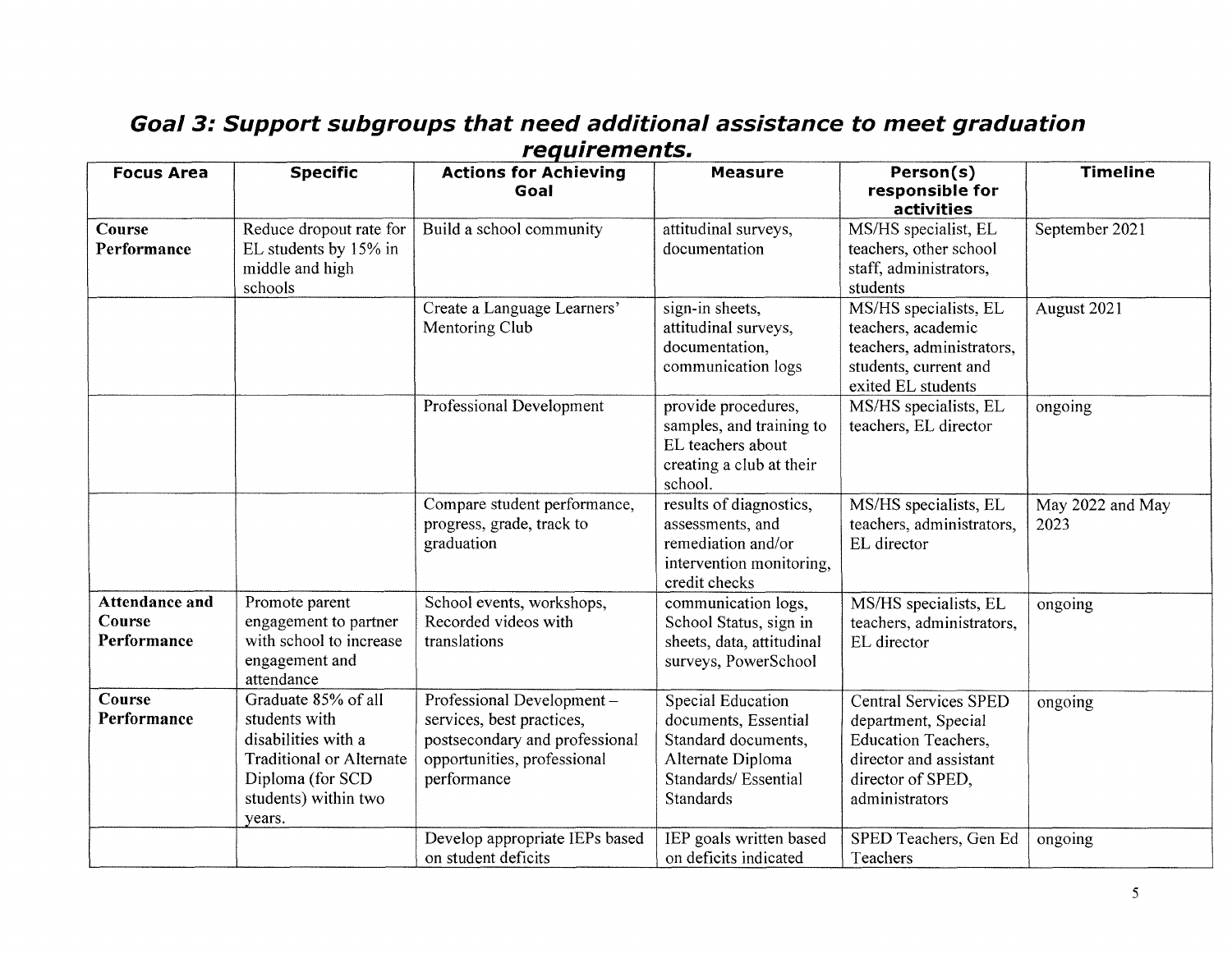| <b>Focus Area</b>                              | <b>Specific</b>                                                                                                                                      | <b>Actions for Achieving</b><br>Goal                                                                                                   | <b>Measure</b>                                                                                                            | Person(s)<br>responsible for<br>activities                                                                                                         | <b>Timeline</b>          |
|------------------------------------------------|------------------------------------------------------------------------------------------------------------------------------------------------------|----------------------------------------------------------------------------------------------------------------------------------------|---------------------------------------------------------------------------------------------------------------------------|----------------------------------------------------------------------------------------------------------------------------------------------------|--------------------------|
| Course<br>Performance                          | Reduce dropout rate for<br>EL students by 15% in<br>middle and high<br>schools                                                                       | Build a school community                                                                                                               | attitudinal surveys,<br>documentation                                                                                     | MS/HS specialist, EL<br>teachers, other school<br>staff, administrators,<br>students                                                               | September 2021           |
|                                                |                                                                                                                                                      | Create a Language Learners'<br>Mentoring Club                                                                                          | sign-in sheets,<br>attitudinal surveys,<br>documentation,<br>communication logs                                           | MS/HS specialists, EL<br>teachers, academic<br>teachers, administrators,<br>students, current and<br>exited EL students                            | August 2021              |
|                                                |                                                                                                                                                      | Professional Development                                                                                                               | provide procedures,<br>samples, and training to<br>EL teachers about<br>creating a club at their<br>school.               | MS/HS specialists, EL<br>teachers, EL director                                                                                                     | ongoing                  |
|                                                |                                                                                                                                                      | Compare student performance,<br>progress, grade, track to<br>graduation                                                                | results of diagnostics,<br>assessments, and<br>remediation and/or<br>intervention monitoring,<br>credit checks            | MS/HS specialists, EL<br>teachers, administrators,<br>EL director                                                                                  | May 2022 and May<br>2023 |
| <b>Attendance and</b><br>Course<br>Performance | Promote parent<br>engagement to partner<br>with school to increase<br>engagement and<br>attendance                                                   | School events, workshops,<br>Recorded videos with<br>translations                                                                      | communication logs,<br>School Status, sign in<br>sheets, data, attitudinal<br>surveys, PowerSchool                        | MS/HS specialists, EL<br>teachers, administrators,<br>EL director                                                                                  | ongoing                  |
| Course<br>Performance                          | Graduate 85% of all<br>students with<br>disabilities with a<br><b>Traditional or Alternate</b><br>Diploma (for SCD<br>students) within two<br>years. | Professional Development-<br>services, best practices,<br>postsecondary and professional<br>opportunities, professional<br>performance | Special Education<br>documents, Essential<br>Standard documents,<br>Alternate Diploma<br>Standards/Essential<br>Standards | <b>Central Services SPED</b><br>department, Special<br><b>Education Teachers,</b><br>director and assistant<br>director of SPED,<br>administrators | ongoing                  |
|                                                |                                                                                                                                                      | Develop appropriate IEPs based<br>on student deficits                                                                                  | IEP goals written based<br>on deficits indicated                                                                          | SPED Teachers, Gen Ed<br>Teachers                                                                                                                  | ongoing                  |

#### **Goal 3: Support subgroups that need additional assistance to meet graduation requirements.**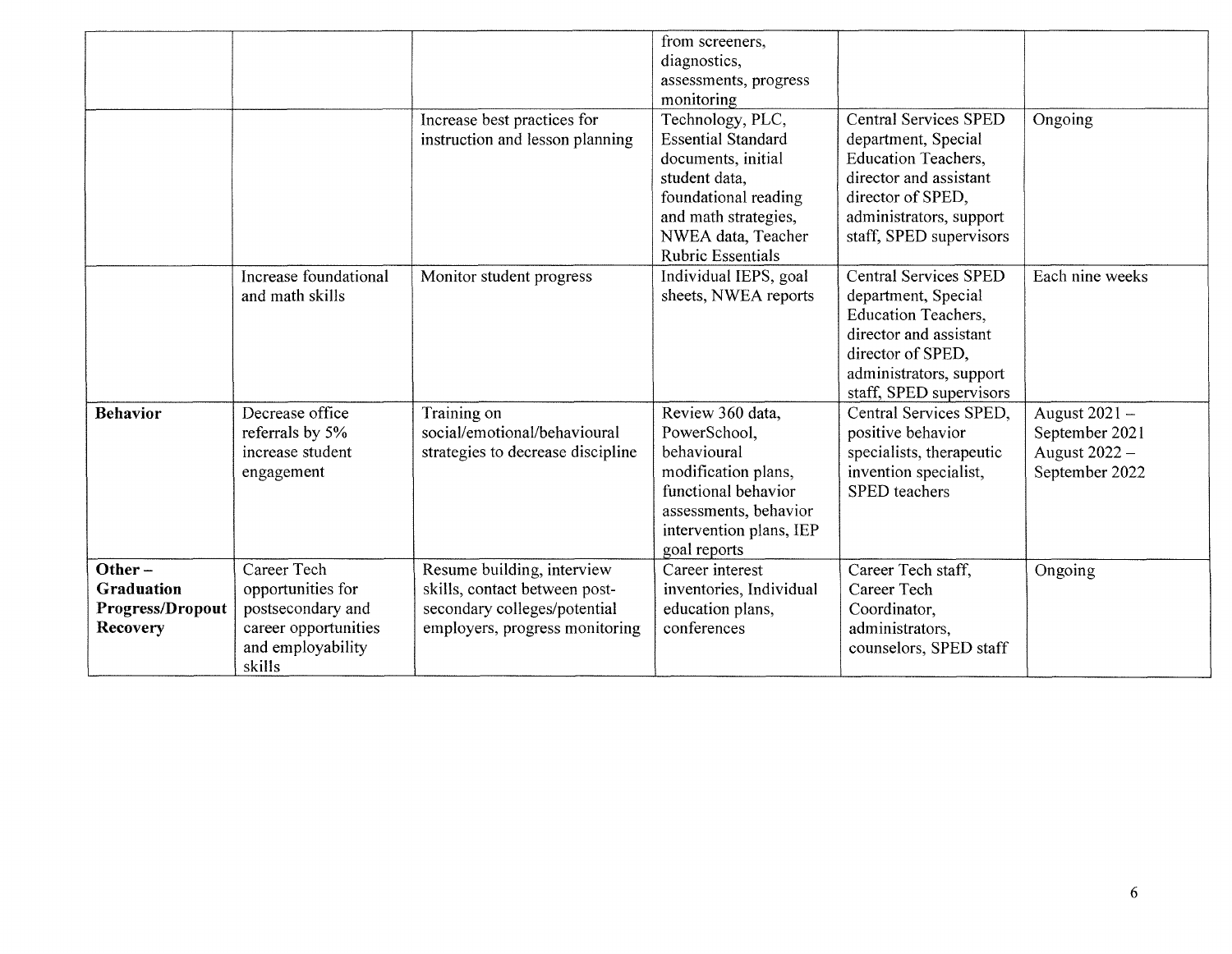|                                                                |                                                                                                              | Increase best practices for<br>instruction and lesson planning                                                                | from screeners,<br>diagnostics,<br>assessments, progress<br>monitoring<br>Technology, PLC,<br><b>Essential Standard</b><br>documents, initial<br>student data,<br>foundational reading<br>and math strategies, | <b>Central Services SPED</b><br>department, Special<br><b>Education Teachers,</b><br>director and assistant<br>director of SPED,<br>administrators, support                            | Ongoing                                                            |
|----------------------------------------------------------------|--------------------------------------------------------------------------------------------------------------|-------------------------------------------------------------------------------------------------------------------------------|----------------------------------------------------------------------------------------------------------------------------------------------------------------------------------------------------------------|----------------------------------------------------------------------------------------------------------------------------------------------------------------------------------------|--------------------------------------------------------------------|
|                                                                |                                                                                                              |                                                                                                                               | NWEA data, Teacher<br><b>Rubric Essentials</b>                                                                                                                                                                 | staff, SPED supervisors                                                                                                                                                                |                                                                    |
|                                                                | Increase foundational<br>and math skills                                                                     | Monitor student progress                                                                                                      | Individual IEPS, goal<br>sheets, NWEA reports                                                                                                                                                                  | <b>Central Services SPED</b><br>department, Special<br><b>Education Teachers,</b><br>director and assistant<br>director of SPED,<br>administrators, support<br>staff, SPED supervisors | Each nine weeks                                                    |
| <b>Behavior</b>                                                | Decrease office<br>referrals by 5%<br>increase student<br>engagement                                         | Training on<br>social/emotional/behavioural<br>strategies to decrease discipline                                              | Review 360 data,<br>PowerSchool,<br>behavioural<br>modification plans,<br>functional behavior<br>assessments, behavior<br>intervention plans, IEP<br>goal reports                                              | Central Services SPED,<br>positive behavior<br>specialists, therapeutic<br>invention specialist,<br>SPED teachers                                                                      | August 2021 -<br>September 2021<br>August 2022 -<br>September 2022 |
| Other $-$<br><b>Graduation</b><br>Progress/Dropout<br>Recovery | Career Tech<br>opportunities for<br>postsecondary and<br>career opportunities<br>and employability<br>skills | Resume building, interview<br>skills, contact between post-<br>secondary colleges/potential<br>employers, progress monitoring | Career interest<br>inventories, Individual<br>education plans,<br>conferences                                                                                                                                  | Career Tech staff,<br>Career Tech<br>Coordinator,<br>administrators,<br>counselors, SPED staff                                                                                         | Ongoing                                                            |